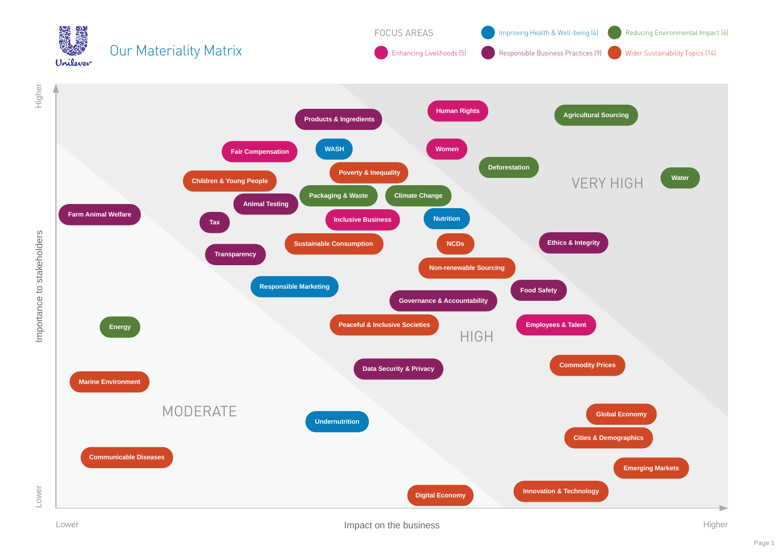

Lower **Impact on the business Impact on the business Higher**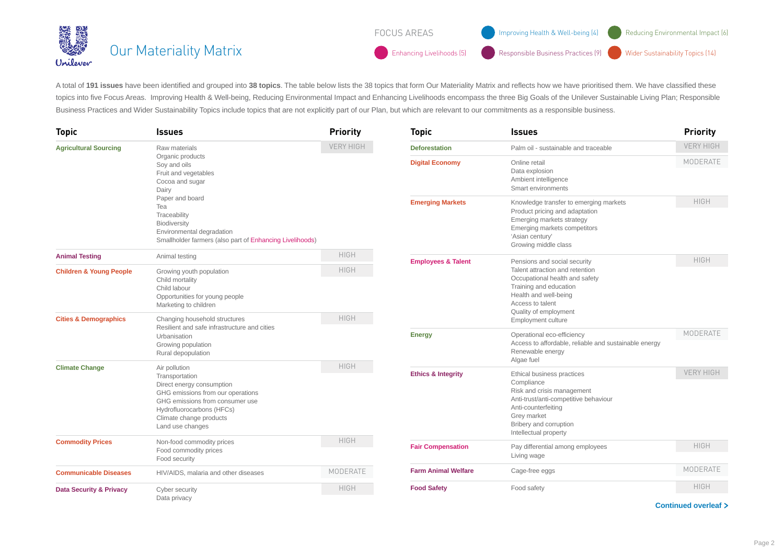|          | ▓▓<br>▒▒ <mark>▒</mark> Our Materiality Matrix | <b>FOCUS AREAS</b> | Improving Health & Well-being (4) (Comp) Reducing Environmental Impact (6)                    |  |
|----------|------------------------------------------------|--------------------|-----------------------------------------------------------------------------------------------|--|
| Unilever |                                                |                    | Enhancing Livelihoods (5) Responsible Business Practices (9) Wider Sustainability Topics (14) |  |

A total of **191 issues** have been identified and grouped into **38 topics**. The table below lists the 38 topics that form Our Materiality Matrix and reflects how we have prioritised them. We have classified these topics into five Focus Areas. Improving Health & Well-being, Reducing Environmental Impact and Enhancing Livelihoods encompass the three Big Goals of the Unilever Sustainable Living Plan; Responsible Business Practices and Wider Sustainability Topics include topics that are not explicitly part of our Plan, but which are relevant to our commitments as a responsible business.

| <b>Topic</b>                       | <b>Issues</b>                                                                                                                                                                                                                                            | <b>Priority</b>  | <b>Topic</b>                                                                                                                                                      | <b>Issues</b>                                                                                                                                                                                            | <b>Priority</b>  |
|------------------------------------|----------------------------------------------------------------------------------------------------------------------------------------------------------------------------------------------------------------------------------------------------------|------------------|-------------------------------------------------------------------------------------------------------------------------------------------------------------------|----------------------------------------------------------------------------------------------------------------------------------------------------------------------------------------------------------|------------------|
| <b>Agricultural Sourcing</b>       | Raw materials<br>Organic products<br>Soy and oils<br>Fruit and vegetables<br>Cocoa and sugar<br>Dairy<br>Paper and board<br>Tea<br>Traceability<br>Biodiversity<br>Environmental degradation<br>Smallholder farmers (also part of Enhancing Livelihoods) | <b>VERY HIGH</b> | <b>Deforestation</b>                                                                                                                                              | Palm oil - sustainable and traceable                                                                                                                                                                     | <b>VERY HIGH</b> |
|                                    |                                                                                                                                                                                                                                                          |                  | <b>Digital Economy</b>                                                                                                                                            | Online retail<br>Data explosion<br>Ambient intelligence<br>Smart environments                                                                                                                            | MODERATE         |
|                                    |                                                                                                                                                                                                                                                          |                  | <b>Emerging Markets</b>                                                                                                                                           | Knowledge transfer to emerging markets<br>Product pricing and adaptation<br>Emerging markets strategy<br>Emerging markets competitors<br>'Asian century'<br>Growing middle class                         | <b>HIGH</b>      |
| <b>Animal Testing</b>              | Animal testing                                                                                                                                                                                                                                           | <b>HIGH</b>      | <b>Employees &amp; Talent</b>                                                                                                                                     | Pensions and social security                                                                                                                                                                             | <b>HIGH</b>      |
| <b>Children &amp; Young People</b> | Growing youth population<br>Child mortality<br>Child labour<br>Opportunities for young people<br>Marketing to children                                                                                                                                   | <b>HIGH</b>      | Talent attraction and retention<br>Occupational health and safety<br>Training and education<br>Health and well-being<br>Access to talent<br>Quality of employment |                                                                                                                                                                                                          |                  |
| <b>Cities &amp; Demographics</b>   | Changing household structures<br>Resilient and safe infrastructure and cities<br>Urbanisation<br>Growing population<br>Rural depopulation                                                                                                                | <b>HIGH</b>      |                                                                                                                                                                   | Employment culture                                                                                                                                                                                       |                  |
|                                    |                                                                                                                                                                                                                                                          |                  | <b>Energy</b>                                                                                                                                                     | Operational eco-efficiency<br>Access to affordable, reliable and sustainable energy<br>Renewable energy<br>Algae fuel                                                                                    | MODERATE         |
| <b>Climate Change</b>              | Air pollution<br>Transportation<br>Direct energy consumption<br>GHG emissions from our operations<br>GHG emissions from consumer use<br>Hydrofluorocarbons (HFCs)<br>Climate change products<br>Land use changes                                         | <b>HIGH</b>      | <b>Ethics &amp; Integrity</b>                                                                                                                                     | Ethical business practices<br>Compliance<br>Risk and crisis management<br>Anti-trust/anti-competitive behaviour<br>Anti-counterfeiting<br>Grey market<br>Bribery and corruption<br>Intellectual property | <b>VERY HIGH</b> |
| <b>Commodity Prices</b>            | Non-food commodity prices<br>Food commodity prices<br>Food security                                                                                                                                                                                      | <b>HIGH</b>      |                                                                                                                                                                   | <b>Fair Compensation</b><br>Pay differential among employees<br>Living wage                                                                                                                              | <b>HIGH</b>      |
|                                    |                                                                                                                                                                                                                                                          |                  |                                                                                                                                                                   |                                                                                                                                                                                                          |                  |
| <b>Communicable Diseases</b>       | HIV/AIDS, malaria and other diseases                                                                                                                                                                                                                     | MODERATE         | <b>Farm Animal Welfare</b>                                                                                                                                        | Cage-free eggs                                                                                                                                                                                           | MODERATE         |
| <b>Data Security &amp; Privacy</b> | Cyber security<br>Data privacy                                                                                                                                                                                                                           | <b>HIGH</b>      | <b>Food Safety</b>                                                                                                                                                | Food safety                                                                                                                                                                                              | <b>HIGH</b>      |

**Continued overleaf**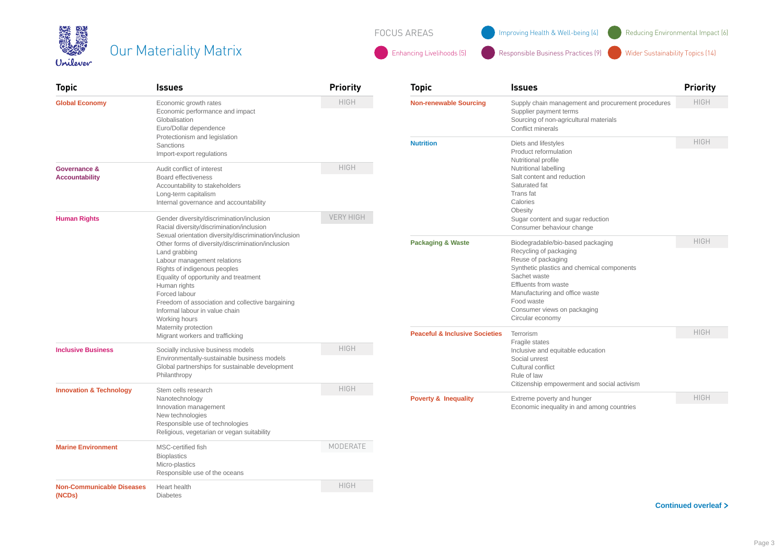| 美好       | <b>Our Materiality Matr</b> |
|----------|-----------------------------|
| Unilever |                             |

FOCUS AREAS **IMPROVING Health & Well-being (4)** Reducing Environmental Impact (6)

Our Materiality Materiality Materiality Materiality Materiality Materiality Materiality Materiality Materiality Topics (14)

| <b>Topic</b>                               | <b>Issues</b>                                                                                                                                                                                                                                                                                                                                                               | <b>Priority</b>                                                  | <b>Topic</b>                                                                                                                                                                                                                                                               | <b>Issues</b>                                                                                                           | <b>Priority</b> |
|--------------------------------------------|-----------------------------------------------------------------------------------------------------------------------------------------------------------------------------------------------------------------------------------------------------------------------------------------------------------------------------------------------------------------------------|------------------------------------------------------------------|----------------------------------------------------------------------------------------------------------------------------------------------------------------------------------------------------------------------------------------------------------------------------|-------------------------------------------------------------------------------------------------------------------------|-----------------|
| <b>Global Economy</b>                      | Economic growth rates<br>Economic performance and impact<br>Globalisation<br>Euro/Dollar dependence<br>Protectionism and legislation<br>Sanctions<br>Import-export regulations                                                                                                                                                                                              | <b>HIGH</b><br><b>Non-renewable Sourcing</b><br><b>Nutrition</b> | Supply chain management and procurement procedures<br>Supplier payment terms<br>Sourcing of non-agricultural materials<br>Conflict minerals                                                                                                                                | <b>HIGH</b>                                                                                                             |                 |
|                                            |                                                                                                                                                                                                                                                                                                                                                                             |                                                                  |                                                                                                                                                                                                                                                                            | Diets and lifestyles<br>Product reformulation<br>Nutritional profile                                                    | <b>HIGH</b>     |
| Governance &<br><b>Accountability</b>      | Audit conflict of interest<br><b>Board effectiveness</b><br>Accountability to stakeholders<br>Long-term capitalism<br>Internal governance and accountability                                                                                                                                                                                                                | <b>HIGH</b>                                                      |                                                                                                                                                                                                                                                                            | Nutritional labelling<br>Salt content and reduction<br>Saturated fat<br>Trans fat<br>Calories<br>Obesity                |                 |
| <b>Human Rights</b>                        | Gender diversity/discrimination/inclusion<br>Racial diversity/discrimination/inclusion                                                                                                                                                                                                                                                                                      | <b>VERY HIGH</b>                                                 |                                                                                                                                                                                                                                                                            | Sugar content and sugar reduction<br>Consumer behaviour change                                                          |                 |
|                                            | Sexual orientation diversity/discrimination/inclusion<br>Other forms of diversity/discrimination/inclusion<br>Land grabbing<br>Labour management relations<br>Rights of indigenous peoples<br>Equality of opportunity and treatment<br>Human rights<br>Forced labour<br>Freedom of association and collective bargaining<br>Informal labour in value chain<br>Working hours | <b>Packaging &amp; Waste</b>                                     | Biodegradable/bio-based packaging<br>Recycling of packaging<br>Reuse of packaging<br>Synthetic plastics and chemical components<br>Sachet waste<br>Effluents from waste<br>Manufacturing and office waste<br>Food waste<br>Consumer views on packaging<br>Circular economy | <b>HIGH</b>                                                                                                             |                 |
|                                            | Maternity protection<br>Migrant workers and trafficking                                                                                                                                                                                                                                                                                                                     |                                                                  | <b>Peaceful &amp; Inclusive Societies</b><br><b>HIGH</b>                                                                                                                                                                                                                   | Terrorism<br>Fragile states                                                                                             | <b>HIGH</b>     |
| <b>Inclusive Business</b>                  | Socially inclusive business models<br>Environmentally-sustainable business models<br>Global partnerships for sustainable development<br>Philanthropy                                                                                                                                                                                                                        |                                                                  |                                                                                                                                                                                                                                                                            | Inclusive and equitable education<br>Social unrest<br>Cultural conflict<br>Rule of law                                  |                 |
| <b>Innovation &amp; Technology</b>         | Stem cells research<br>Nanotechnology<br>Innovation management<br>New technologies<br>Responsible use of technologies<br>Religious, vegetarian or vegan suitability                                                                                                                                                                                                         | <b>HIGH</b>                                                      | <b>Poverty &amp; Inequality</b>                                                                                                                                                                                                                                            | Citizenship empowerment and social activism<br>Extreme poverty and hunger<br>Economic inequality in and among countries |                 |
|                                            |                                                                                                                                                                                                                                                                                                                                                                             |                                                                  |                                                                                                                                                                                                                                                                            |                                                                                                                         | <b>HIGH</b>     |
| <b>Marine Environment</b>                  | MSC-certified fish<br><b>Bioplastics</b><br>Micro-plastics<br>Responsible use of the oceans                                                                                                                                                                                                                                                                                 | MODERATE                                                         |                                                                                                                                                                                                                                                                            |                                                                                                                         |                 |
| <b>Non-Communicable Diseases</b><br>(NCDs) | Heart health<br><b>Diabetes</b>                                                                                                                                                                                                                                                                                                                                             | <b>HIGH</b>                                                      |                                                                                                                                                                                                                                                                            |                                                                                                                         |                 |

**Continued overleaf**